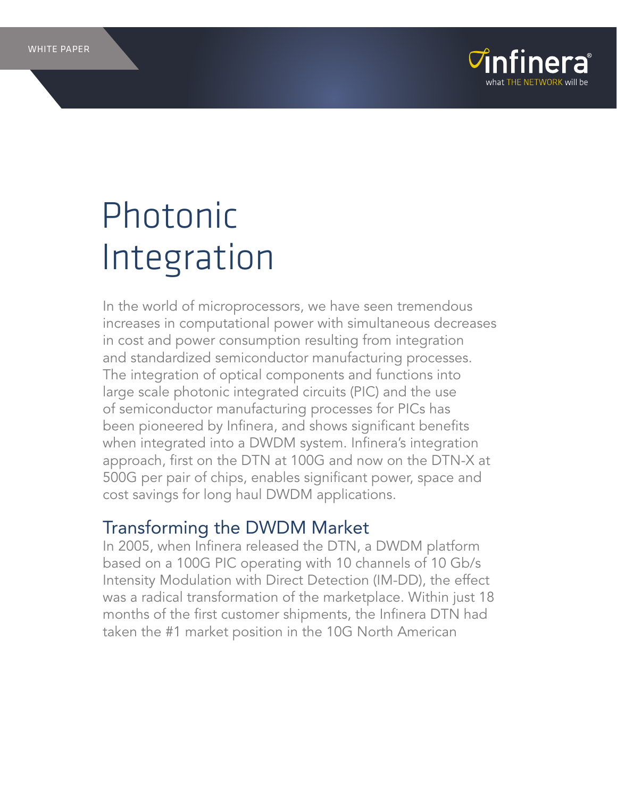



# Photonic Integration

In the world of microprocessors, we have seen tremendous increases in computational power with simultaneous decreases in cost and power consumption resulting from integration and standardized semiconductor manufacturing processes. The integration of optical components and functions into large scale photonic integrated circuits (PIC) and the use of semiconductor manufacturing processes for PICs has been pioneered by Infinera, and shows significant benefits when integrated into a DWDM system. Infinera's integration approach, first on the DTN at 100G and now on the DTN-X at 500G per pair of chips, enables significant power, space and cost savings for long haul DWDM applications.

### Transforming the DWDM Market

In 2005, when Infinera released the DTN, a DWDM platform based on a 100G PIC operating with 10 channels of 10 Gb/s Intensity Modulation with Direct Detection (IM-DD), the effect was a radical transformation of the marketplace. Within just 18 months of the first customer shipments, the Infinera DTN had taken the #1 market position in the 10G North American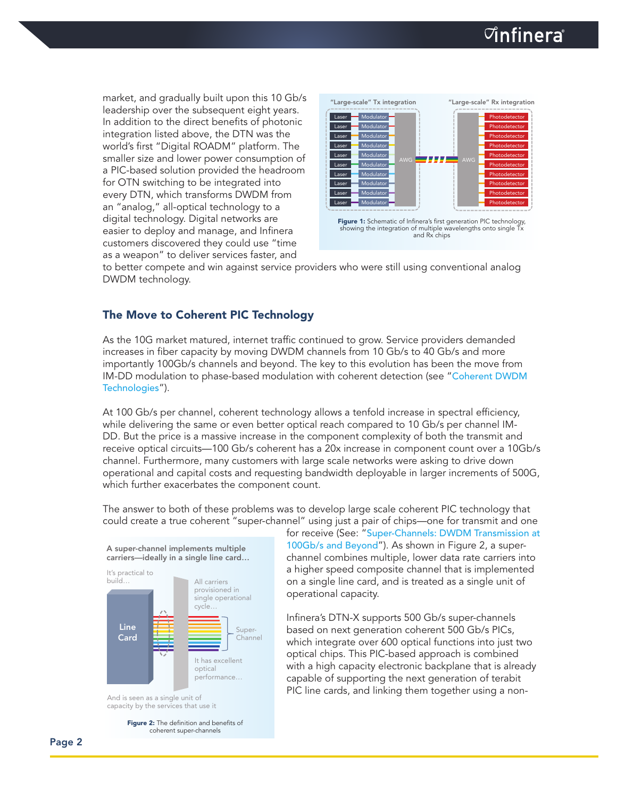## $\triangledown$ infinera

market, and gradually built upon this 10 Gb/s leadership over the subsequent eight years. In addition to the direct benefits of photonic integration listed above, the DTN was the world's first "Digital ROADM" platform. The smaller size and lower power consumption of a PIC-based solution provided the headroom for OTN switching to be integrated into every DTN, which transforms DWDM from an "analog," all-optical technology to a digital technology. Digital networks are easier to deploy and manage, and Infinera customers discovered they could use "time as a weapon" to deliver services faster, and



to better compete and win against service providers who were still using conventional analog DWDM technology.

### The Move to Coherent PIC Technology

As the 10G market matured, internet traffic continued to grow. Service providers demanded increases in fiber capacity by moving DWDM channels from 10 Gb/s to 40 Gb/s and more importantly 100Gb/s channels and beyond. The key to this evolution has been the move from IM-DD modulation to phase-based modulation with coherent detection (see "[Coherent DWDM](http://www.infinera.com/solutions/whitepapers-Infinera_Coherent_Tech.html) [Technologies](http://www.infinera.com/solutions/whitepapers-Infinera_Coherent_Tech.html)").

At 100 Gb/s per channel, coherent technology allows a tenfold increase in spectral efficiency, while delivering the same or even better optical reach compared to 10 Gb/s per channel IM-DD. But the price is a massive increase in the component complexity of both the transmit and receive optical circuits—100 Gb/s coherent has a 20x increase in component count over a 10Gb/s channel. Furthermore, many customers with large scale networks were asking to drive down operational and capital costs and requesting bandwidth deployable in larger increments of 500G, which further exacerbates the component count.

The answer to both of these problems was to develop large scale coherent PIC technology that could create a true coherent "super-channel" using just a pair of chips—one for transmit and one



And is seen as a single unit of capacity by the services that use it

> Figure 2: The definition and benefits of coherent super-channels

for receive (See: "[Super-Channels: DWDM Transmission at](http://www.infinera.com/solutions/whitepapers-Super-Channels_DWDM_Transmission_Beyond_100Gbs.html)  [100Gb/s and Beyond](http://www.infinera.com/solutions/whitepapers-Super-Channels_DWDM_Transmission_Beyond_100Gbs.html)"). As shown in Figure 2, a superchannel combines multiple, lower data rate carriers into a higher speed composite channel that is implemented on a single line card, and is treated as a single unit of operational capacity.

Infinera's DTN-X supports 500 Gb/s super-channels based on next generation coherent 500 Gb/s PICs, which integrate over 600 optical functions into just two optical chips. This PIC-based approach is combined with a high capacity electronic backplane that is already capable of supporting the next generation of terabit PIC line cards, and linking them together using a non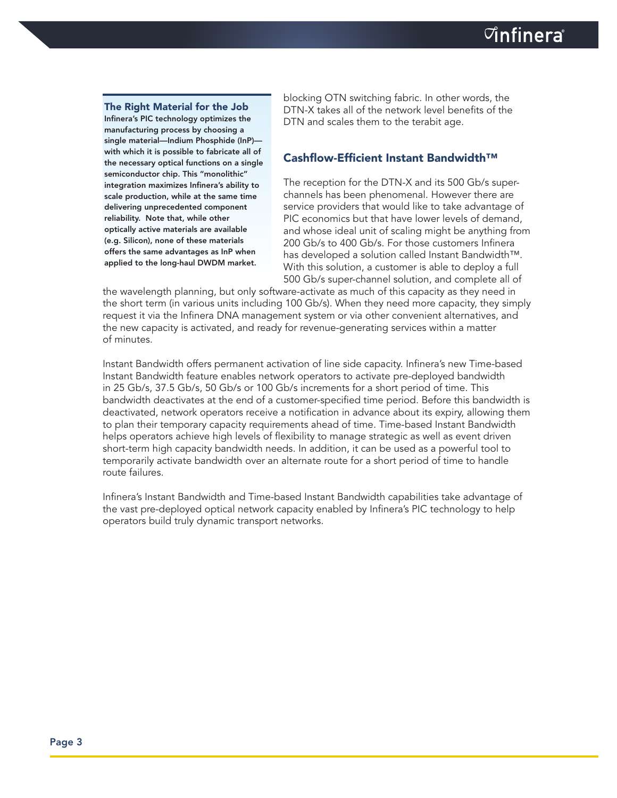The Right Material for the Job Infinera's PIC technology optimizes the manufacturing process by choosing a single material—Indium Phosphide (InP) with which it is possible to fabricate all of the necessary optical functions on a single semiconductor chip. This "monolithic" integration maximizes Infinera's ability to scale production, while at the same time delivering unprecedented component reliability. Note that, while other optically active materials are available (e.g. Silicon), none of these materials offers the same advantages as InP when applied to the long-haul DWDM market.

blocking OTN switching fabric. In other words, the DTN-X takes all of the network level benefits of the DTN and scales them to the terabit age.

#### Cashflow-Efficient Instant Bandwidth™

The reception for the DTN-X and its 500 Gb/s superchannels has been phenomenal. However there are service providers that would like to take advantage of PIC economics but that have lower levels of demand, and whose ideal unit of scaling might be anything from 200 Gb/s to 400 Gb/s. For those customers Infinera has developed a solution called Instant Bandwidth™. With this solution, a customer is able to deploy a full 500 Gb/s super-channel solution, and complete all of

the wavelength planning, but only software-activate as much of this capacity as they need in the short term (in various units including 100 Gb/s). When they need more capacity, they simply request it via the Infinera DNA management system or via other convenient alternatives, and the new capacity is activated, and ready for revenue-generating services within a matter of minutes.

Instant Bandwidth offers permanent activation of line side capacity. Infinera's new Time-based Instant Bandwidth feature enables network operators to activate pre-deployed bandwidth in 25 Gb/s, 37.5 Gb/s, 50 Gb/s or 100 Gb/s increments for a short period of time. This bandwidth deactivates at the end of a customer-specified time period. Before this bandwidth is deactivated, network operators receive a notification in advance about its expiry, allowing them to plan their temporary capacity requirements ahead of time. Time-based Instant Bandwidth helps operators achieve high levels of flexibility to manage strategic as well as event driven short-term high capacity bandwidth needs. In addition, it can be used as a powerful tool to temporarily activate bandwidth over an alternate route for a short period of time to handle route failures.

Infinera's Instant Bandwidth and Time-based Instant Bandwidth capabilities take advantage of the vast pre-deployed optical network capacity enabled by Infinera's PIC technology to help operators build truly dynamic transport networks.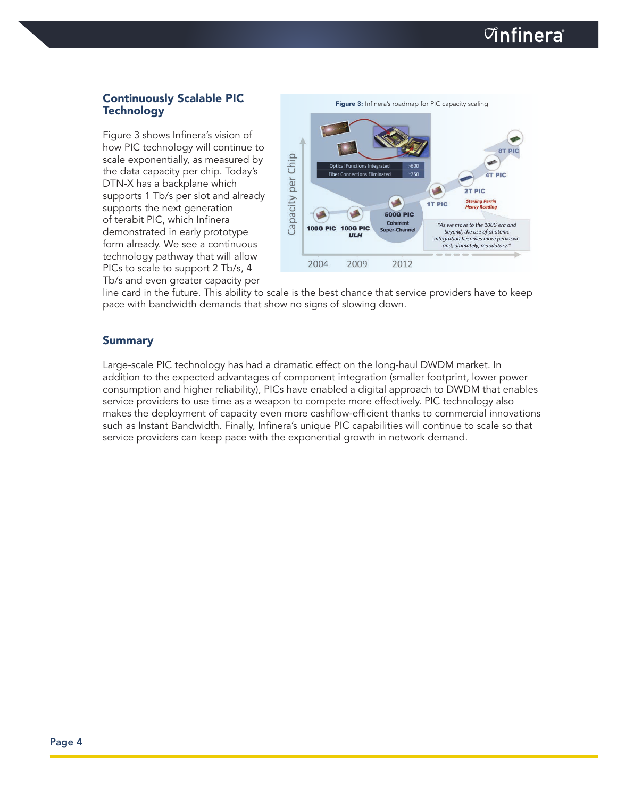Figure 3 shows Infinera's vision of how PIC technology will continue to scale exponentially, as measured by the data capacity per chip. Today's DTN-X has a backplane which supports 1 Tb/s per slot and already supports the next generation of terabit PIC, which Infinera demonstrated in early prototype form already. We see a continuous technology pathway that will allow PICs to scale to support 2 Tb/s, 4 Tb/s and even greater capacity per



line card in the future. This ability to scale is the best chance that service providers have to keep pace with bandwidth demands that show no signs of slowing down.

#### Summary

Large-scale PIC technology has had a dramatic effect on the long-haul DWDM market. In addition to the expected advantages of component integration (smaller footprint, lower power consumption and higher reliability), PICs have enabled a digital approach to DWDM that enables service providers to use time as a weapon to compete more effectively. PIC technology also makes the deployment of capacity even more cashflow-efficient thanks to commercial innovations such as Instant Bandwidth. Finally, Infinera's unique PIC capabilities will continue to scale so that service providers can keep pace with the exponential growth in network demand.